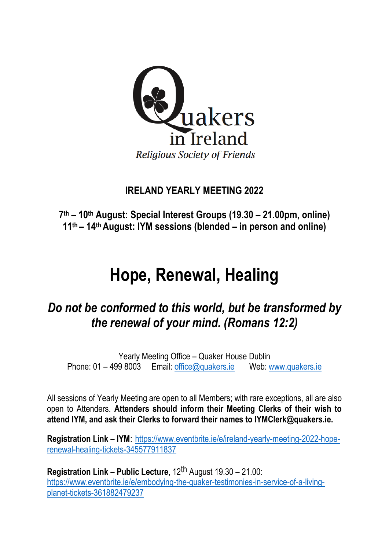

# **IRELAND YEARLY MEETING 2022**

**7 th – 10th August: Special Interest Groups (19.30 – 21.00pm, online) 11th – 14 th August: IYM sessions (blended – in person and online)**

# **Hope, Renewal, Healing**

# *Do not be conformed to this world, but be transformed by the renewal of your mind. (Romans 12:2)*

Yearly Meeting Office – Quaker House Dublin Phone: 01 – 499 8003 Email: [office@quakers.ie](mailto:office@quakers.ie) Web: [www.quakers.ie](http://www.quakers.ie/)

All sessions of Yearly Meeting are open to all Members; with rare exceptions, all are also open to Attenders. **Attenders should inform their Meeting Clerks of their wish to attend IYM, and ask their Clerks to forward their names to IYMClerk@quakers.ie.**

**Registration Link – IYM**: [https://www.eventbrite.ie/e/ireland-yearly-meeting-2022-hope](https://www.eventbrite.ie/e/ireland-yearly-meeting-2022-hope-renewal-healing-tickets-345577911837)[renewal-healing-tickets-345577911837](https://www.eventbrite.ie/e/ireland-yearly-meeting-2022-hope-renewal-healing-tickets-345577911837)

**Registration Link – Public Lecture**, 12th August 19.30 – 21.00: [https://www.eventbrite.ie/e/embodying-the-quaker-testimonies-in-service-of-a-living](https://www.eventbrite.ie/e/embodying-the-quaker-testimonies-in-service-of-a-living-planet-tickets-361882479237)[planet-tickets-361882479237](https://www.eventbrite.ie/e/embodying-the-quaker-testimonies-in-service-of-a-living-planet-tickets-361882479237)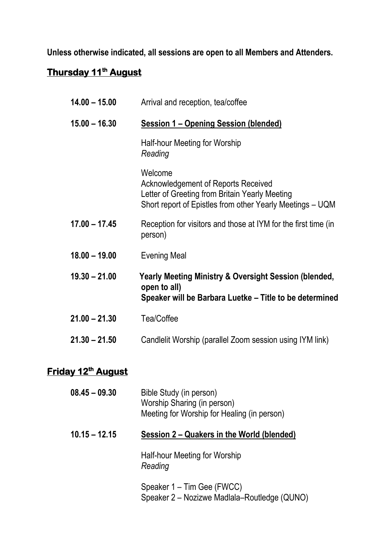# **Unless otherwise indicated, all sessions are open to all Members and Attenders.**

### **Thursday 11th August**

| $14.00 - 15.00$ | Arrival and reception, tea/coffee                                                                                                                                    |
|-----------------|----------------------------------------------------------------------------------------------------------------------------------------------------------------------|
| $15.00 - 16.30$ | <b>Session 1 – Opening Session (blended)</b>                                                                                                                         |
|                 | Half-hour Meeting for Worship<br>Reading                                                                                                                             |
|                 | Welcome<br><b>Acknowledgement of Reports Received</b><br>Letter of Greeting from Britain Yearly Meeting<br>Short report of Epistles from other Yearly Meetings - UQM |
| $17.00 - 17.45$ | Reception for visitors and those at IYM for the first time (in<br>person)                                                                                            |
| $18.00 - 19.00$ | <b>Evening Meal</b>                                                                                                                                                  |
| $19.30 - 21.00$ | Yearly Meeting Ministry & Oversight Session (blended,<br>open to all)<br>Speaker will be Barbara Luetke - Title to be determined                                     |
| $21.00 - 21.30$ | Tea/Coffee                                                                                                                                                           |
| $21.30 - 21.50$ | Candlelit Worship (parallel Zoom session using IYM link)                                                                                                             |
|                 |                                                                                                                                                                      |

## **Friday 12th August**

| $08.45 - 09.30$ | Bible Study (in person)<br>Worship Sharing (in person)<br>Meeting for Worship for Healing (in person) |
|-----------------|-------------------------------------------------------------------------------------------------------|
| $10.15 - 12.15$ | Session 2 – Quakers in the World (blended)                                                            |
|                 | Half-hour Meeting for Worship<br>Reading                                                              |
|                 | Speaker 1 – Tim Gee (FWCC)<br>Speaker 2 – Nozizwe Madlala–Routledge (QUNO)                            |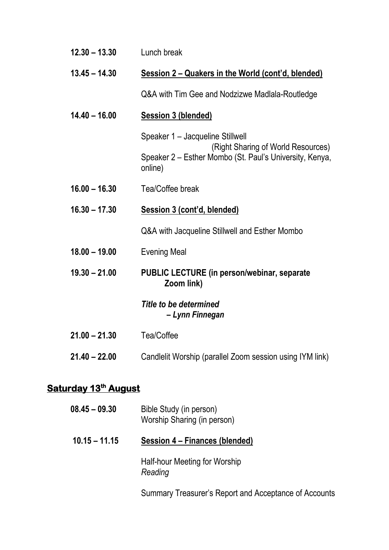| $12.30 - 13.30$             | Lunch break                                                                                                                                  |
|-----------------------------|----------------------------------------------------------------------------------------------------------------------------------------------|
| $13.45 - 14.30$             | Session 2 – Quakers in the World (cont'd, blended)                                                                                           |
|                             | Q&A with Tim Gee and Nodzizwe Madlala-Routledge                                                                                              |
| $14.40 - 16.00$             | <b>Session 3 (blended)</b>                                                                                                                   |
|                             | Speaker 1 - Jacqueline Stillwell<br>(Right Sharing of World Resources)<br>Speaker 2 – Esther Mombo (St. Paul's University, Kenya,<br>online) |
| $16.00 - 16.30$             | Tea/Coffee break                                                                                                                             |
| $16.30 - 17.30$             | <b>Session 3 (cont'd, blended)</b>                                                                                                           |
|                             | Q&A with Jacqueline Stillwell and Esther Mombo                                                                                               |
| $18.00 - 19.00$             | <b>Evening Meal</b>                                                                                                                          |
| $19.30 - 21.00$             | <b>PUBLIC LECTURE (in person/webinar, separate)</b><br>Zoom link)                                                                            |
|                             | Title to be determined<br>– Lynn Finnegan                                                                                                    |
| $21.00 - 21.30$             | Tea/Coffee                                                                                                                                   |
| $21.40 - 22.00$             | Candlelit Worship (parallel Zoom session using IYM link)                                                                                     |
| <b>Saturday 13th August</b> |                                                                                                                                              |
| $08.45 - 09.30$             | Bible Study (in person)<br>Worship Sharing (in person)                                                                                       |

**10.15 – 11.15 Session 4 – Finances (blended)**

Half-hour Meeting for Worship *Reading*

Summary Treasurer's Report and Acceptance of Accounts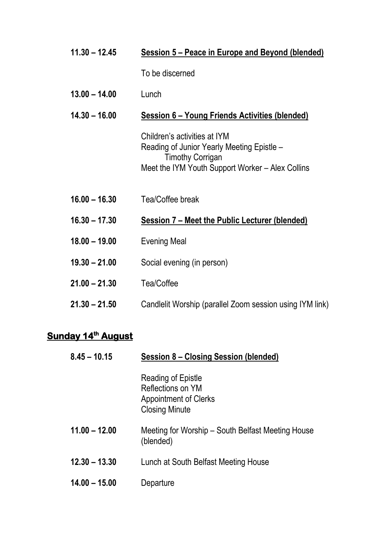| Session 6 – Young Friends Activities (blended)                                                 |
|------------------------------------------------------------------------------------------------|
| Reading of Junior Yearly Meeting Epistle -<br>Meet the IYM Youth Support Worker – Alex Collins |
|                                                                                                |
| Session 7 – Meet the Public Lecturer (blended)                                                 |
|                                                                                                |
|                                                                                                |
|                                                                                                |
|                                                                                                |
|                                                                                                |

#### **Sunday 14<sup>th</sup> August**

| $8.45 - 10.15$  | Session 8 – Closing Session (blended)                                                            |
|-----------------|--------------------------------------------------------------------------------------------------|
|                 | Reading of Epistle<br>Reflections on YM<br><b>Appointment of Clerks</b><br><b>Closing Minute</b> |
| $11.00 - 12.00$ | Meeting for Worship – South Belfast Meeting House<br>(blended)                                   |
| $12.30 - 13.30$ | Lunch at South Belfast Meeting House                                                             |
| $14.00 - 15.00$ | Departure                                                                                        |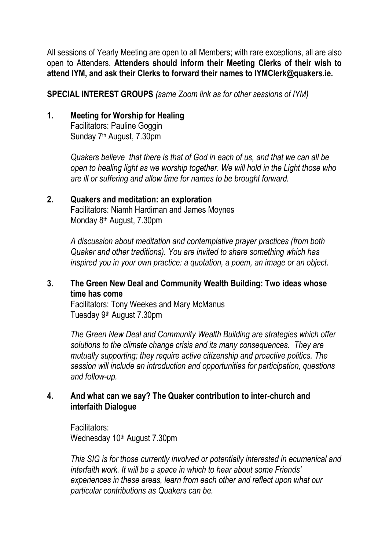All sessions of Yearly Meeting are open to all Members; with rare exceptions, all are also open to Attenders. **Attenders should inform their Meeting Clerks of their wish to attend IYM, and ask their Clerks to forward their names to IYMClerk@quakers.ie.**

**SPECIAL INTEREST GROUPS** *(same Zoom link as for other sessions of IYM)*

#### **1. Meeting for Worship for Healing**

Facilitators: Pauline Goggin Sunday 7<sup>th</sup> August, 7.30pm

*Quakers believe that there is that of God in each of us, and that we can all be open to healing light as we worship together. We will hold in the Light those who are ill or suffering and allow time for names to be brought forward.*

#### **2. Quakers and meditation: an exploration**

Facilitators: Niamh Hardiman and James Moynes Monday 8<sup>th</sup> August, 7.30pm

*A discussion about meditation and contemplative prayer practices (from both Quaker and other traditions). You are invited to share something which has inspired you in your own practice: a quotation, a poem, an image or an object.*

#### **3. The Green New Deal and Community Wealth Building: Two ideas whose time has come**

Facilitators: Tony Weekes and Mary McManus Tuesday 9<sup>th</sup> August 7.30pm

*The Green New Deal and Community Wealth Building are strategies which offer solutions to the climate change crisis and its many consequences. They are mutually supporting; they require active citizenship and proactive politics. The session will include an introduction and opportunities for participation, questions and follow-up.*

#### **4. And what can we say? The Quaker contribution to inter-church and interfaith Dialogue**

Facilitators: Wednesday 10<sup>th</sup> August 7.30pm

*This SIG is for those currently involved or potentially interested in ecumenical and interfaith work. It will be a space in which to hear about some Friends' experiences in these areas, learn from each other and reflect upon what our particular contributions as Quakers can be.*